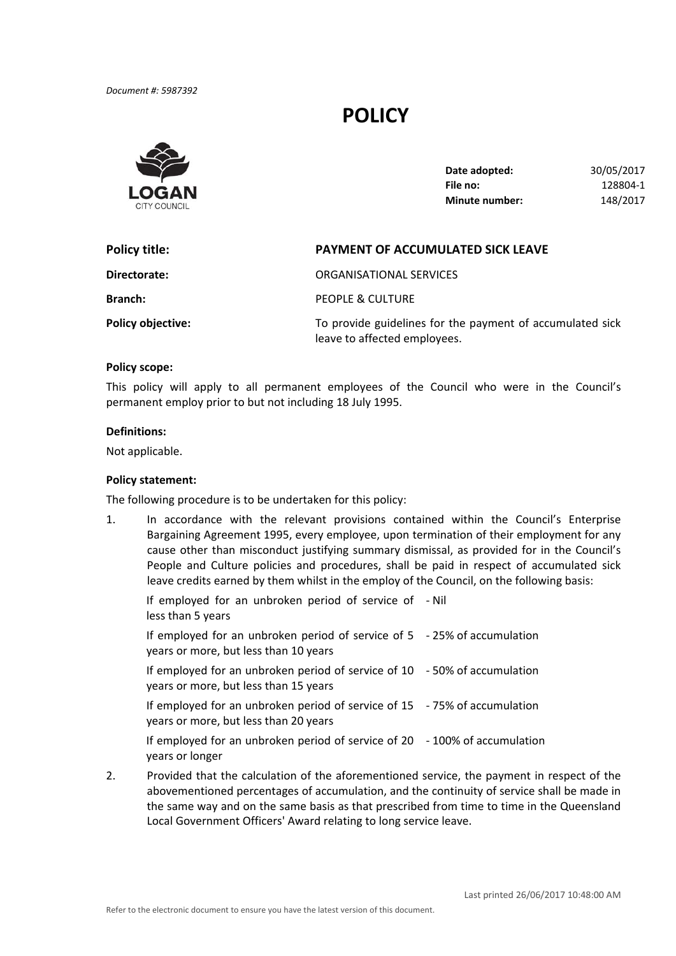*Document #: 5987392*

# **POLICY**



| Date adopted:         | 30/05/2017 |
|-----------------------|------------|
| File no:              | 128804-1   |
| <b>Minute number:</b> | 148/2017   |

| Policy title:            | <b>PAYMENT OF ACCUMULATED SICK LEAVE</b>                                                  |  |
|--------------------------|-------------------------------------------------------------------------------------------|--|
| Directorate:             | ORGANISATIONAL SERVICES                                                                   |  |
| <b>Branch:</b>           | PEOPLE & CULTURE                                                                          |  |
| <b>Policy objective:</b> | To provide guidelines for the payment of accumulated sick<br>leave to affected employees. |  |

## **Policy scope:**

 This policy will apply to all permanent employees of the Council who were in the Council's permanent employ prior to but not including 18 July 1995.

#### **Definitions:**

Not applicable.

## **Policy statement:**

The following procedure is to be undertaken for this policy:

 1. In accordance with the relevant provisions contained within the Council's Enterprise Bargaining Agreement 1995, every employee, upon termination of their employment for any cause other than misconduct justifying summary dismissal, as provided for in the Council's People and Culture policies and procedures, shall be paid in respect of accumulated sick leave credits earned by them whilst in the employ of the Council, on the following basis:

| If employed for an unbroken period of service of - Nil<br>less than 5 years                                         |  |
|---------------------------------------------------------------------------------------------------------------------|--|
| If employed for an unbroken period of service of $5 - 25%$ of accumulation<br>years or more, but less than 10 years |  |
| If employed for an unbroken period of service of 10 - 50% of accumulation<br>years or more, but less than 15 years  |  |
| If employed for an unbroken period of service of 15 - 75% of accumulation<br>years or more, but less than 20 years  |  |
| If employed for an unbroken period of service of 20 - 100% of accumulation<br>years or longer                       |  |

 2. Provided that the calculation of the aforementioned service, the payment in respect of the abovementioned percentages of accumulation, and the continuity of service shall be made in the same way and on the same basis as that prescribed from time to time in the Queensland Local Government Officers' Award relating to long service leave.